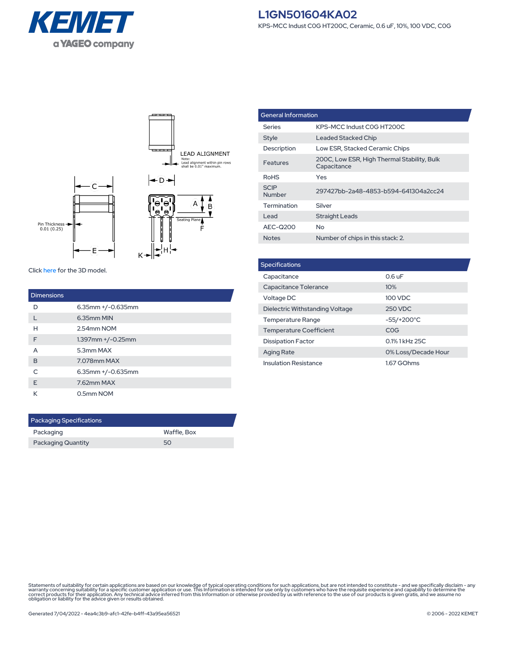



Click [here](https://connect.kemet.com:7667/gateway/IntelliData-ComponentDocumentation/1.0/download/step/L1GN501604KA02.step) for the 3D model.

| <b>Dimensions</b> |                         |
|-------------------|-------------------------|
| D                 | $6.35$ mm $+/-0.635$ mm |
|                   | 6.35mm MIN              |
| н                 | 2.54mm NOM              |
| F                 | $1.397$ mm $+/-0.25$ mm |
| A                 | 5.3mm MAX               |
| B                 | 7.078mm MAX             |
| $\subset$         | $6.35$ mm $+/-0.635$ mm |
| F                 | 7.62mm MAX              |
| К                 | 0.5mm NOM               |

| <b>Packaging Specifications</b> |             |  |  |
|---------------------------------|-------------|--|--|
| Packaging                       | Waffle, Box |  |  |
| <b>Packaging Quantity</b>       | 50          |  |  |

| <b>General Information</b> |                                                            |  |
|----------------------------|------------------------------------------------------------|--|
| Series                     | KPS-MCC Indust COG HT200C                                  |  |
| <b>Style</b>               | Leaded Stacked Chip                                        |  |
| Description                | Low ESR, Stacked Ceramic Chips                             |  |
| Features                   | 200C, Low ESR, High Thermal Stability, Bulk<br>Capacitance |  |
| <b>RoHS</b>                | Yes                                                        |  |
| <b>SCIP</b><br>Number      | 297427bb-2a48-4853-b594-641304a2cc24                       |  |
| Termination                | Silver                                                     |  |
| Lead                       | Straight Leads                                             |  |
| AEC-Q200                   | Nο                                                         |  |
| <b>Notes</b>               | Number of chips in this stack: 2.                          |  |

| <b>Specifications</b>           |                     |  |  |  |
|---------------------------------|---------------------|--|--|--|
| Capacitance                     | $0.6$ uF            |  |  |  |
| Capacitance Tolerance           | 10%                 |  |  |  |
| Voltage DC                      | 100 VDC             |  |  |  |
| Dielectric Withstanding Voltage | 250 VDC             |  |  |  |
| <b>Temperature Range</b>        | -55/+200°C          |  |  |  |
| <b>Temperature Coefficient</b>  | COG                 |  |  |  |
| <b>Dissipation Factor</b>       | 0.1% 1 kHz 25C      |  |  |  |
| <b>Aging Rate</b>               | 0% Loss/Decade Hour |  |  |  |
| <b>Insulation Resistance</b>    | 1.67 GOhms          |  |  |  |

Statements of suitability for certain applications are based on our knowledge of typical operating conditions for such applications, but are not intended to constitute - and we specifically disclaim - any<br>warranty concerni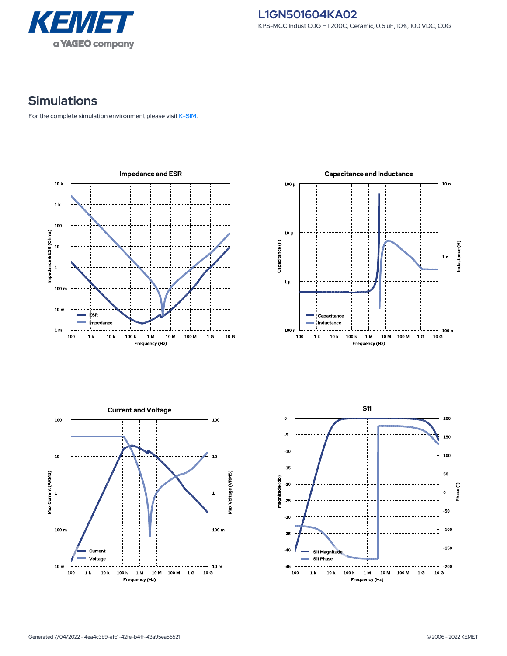

## **Simulations**

For the complete simulation environment please visit [K-SIM](https://ksim.kemet.com/?pn=L1GN501604KA02).

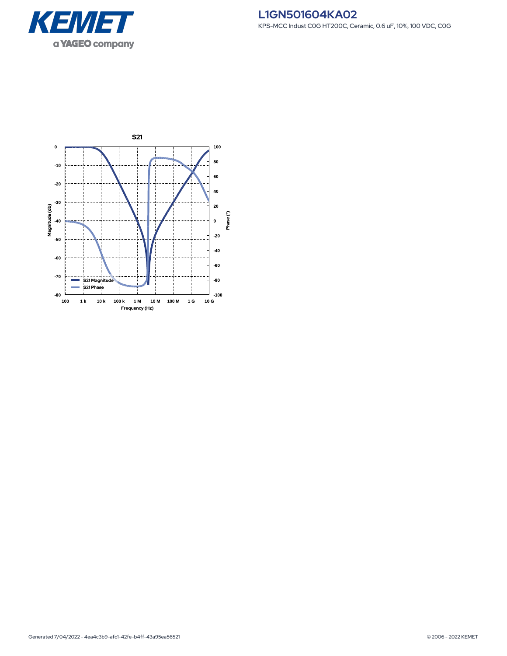